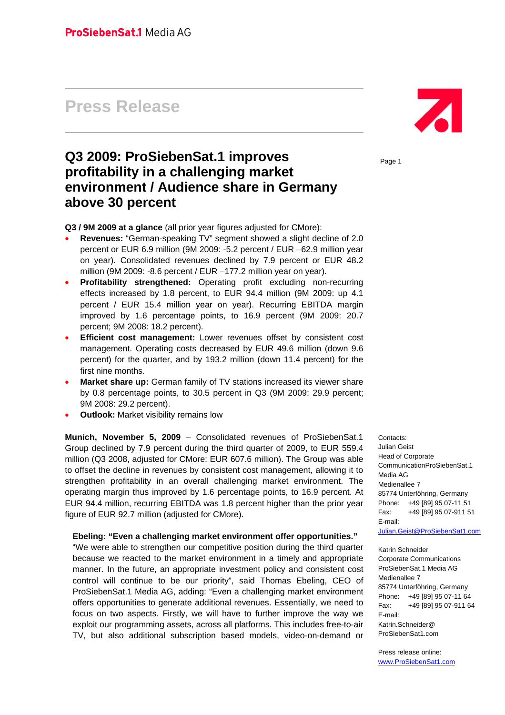# **Press Release**

## **Q3 2009: ProSiebenSat.1 improves profitability in a challenging market environment / Audience share in Germany above 30 percent**

**Q3 / 9M 2009 at a glance** (all prior year figures adjusted for CMore):

- **Revenues:** "German-speaking TV" segment showed a slight decline of 2.0 percent or EUR 6.9 million (9M 2009: -5.2 percent / EUR –62.9 million year on year). Consolidated revenues declined by 7.9 percent or EUR 48.2 million (9M 2009: -8.6 percent / EUR –177.2 million year on year).
- **Profitability strengthened:** Operating profit excluding non-recurring effects increased by 1.8 percent, to EUR 94.4 million (9M 2009: up 4.1 percent / EUR 15.4 million year on year). Recurring EBITDA margin improved by 1.6 percentage points, to 16.9 percent (9M 2009: 20.7 percent; 9M 2008: 18.2 percent).
- **Efficient cost management:** Lower revenues offset by consistent cost management. Operating costs decreased by EUR 49.6 million (down 9.6 percent) for the quarter, and by 193.2 million (down 11.4 percent) for the first nine months.
- **Market share up:** German family of TV stations increased its viewer share by 0.8 percentage points, to 30.5 percent in Q3 (9M 2009: 29.9 percent; 9M 2008: 29.2 percent).
- **Outlook:** Market visibility remains low

**Munich, November 5, 2009** – Consolidated revenues of ProSiebenSat.1 Group declined by 7.9 percent during the third quarter of 2009, to EUR 559.4 million (Q3 2008, adjusted for CMore: EUR 607.6 million). The Group was able to offset the decline in revenues by consistent cost management, allowing it to strengthen profitability in an overall challenging market environment. The operating margin thus improved by 1.6 percentage points, to 16.9 percent. At EUR 94.4 million, recurring EBITDA was 1.8 percent higher than the prior year figure of EUR 92.7 million (adjusted for CMore).

#### **Ebeling: "Even a challenging market environment offer opportunities."**

"We were able to strengthen our competitive position during the third quarter because we reacted to the market environment in a timely and appropriate manner. In the future, an appropriate investment policy and consistent cost control will continue to be our priority", said Thomas Ebeling, CEO of ProSiebenSat.1 Media AG, adding: "Even a challenging market environment offers opportunities to generate additional revenues. Essentially, we need to focus on two aspects. Firstly, we will have to further improve the way we exploit our programming assets, across all platforms. This includes free-to-air TV, but also additional subscription based models, video-on-demand or



Page 1

Contacts: Julian Geist Head of Corporate CommunicationProSiebenSat.1 Media AG Medienallee 7 85774 Unterföhring, Germany Phone: +49 [89] 95 07-11 51 Fax: +49 [89] 95 07-911 51 E-mail: Julian.Geist@ProSiebenSat1.com

Katrin Schneider Corporate Communications ProSiebenSat.1 Media AG Medienallee 7 85774 Unterföhring, Germany Phone: +49 [89] 95 07-11 64 Fax: +49 [89] 95 07-911 64 E-mail: Katrin.Schneider@ ProSiebenSat1.com

Press release online: www.ProSiebenSat1.com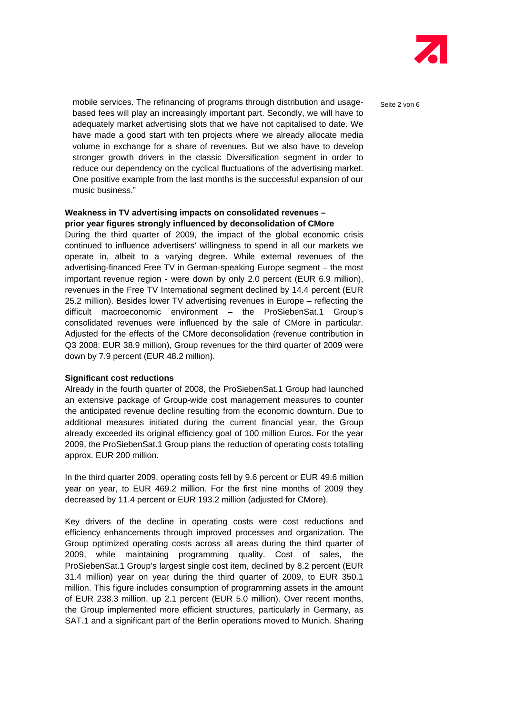

mobile services. The refinancing of programs through distribution and usage- $S_{\text{eite 2 von }6}$ based fees will play an increasingly important part. Secondly, we will have to adequately market advertising slots that we have not capitalised to date. We have made a good start with ten projects where we already allocate media volume in exchange for a share of revenues. But we also have to develop stronger growth drivers in the classic Diversification segment in order to reduce our dependency on the cyclical fluctuations of the advertising market. One positive example from the last months is the successful expansion of our music business."

## **Weakness in TV advertising impacts on consolidated revenues – prior year figures strongly influenced by deconsolidation of CMore**

During the third quarter of 2009, the impact of the global economic crisis continued to influence advertisers' willingness to spend in all our markets we operate in, albeit to a varying degree. While external revenues of the advertising-financed Free TV in German-speaking Europe segment – the most important revenue region - were down by only 2.0 percent (EUR 6.9 million), revenues in the Free TV International segment declined by 14.4 percent (EUR 25.2 million). Besides lower TV advertising revenues in Europe – reflecting the difficult macroeconomic environment – the ProSiebenSat.1 Group's consolidated revenues were influenced by the sale of CMore in particular. Adjusted for the effects of the CMore deconsolidation (revenue contribution in Q3 2008: EUR 38.9 million), Group revenues for the third quarter of 2009 were down by 7.9 percent (EUR 48.2 million).

#### **Significant cost reductions**

Already in the fourth quarter of 2008, the ProSiebenSat.1 Group had launched an extensive package of Group-wide cost management measures to counter the anticipated revenue decline resulting from the economic downturn. Due to additional measures initiated during the current financial year, the Group already exceeded its original efficiency goal of 100 million Euros. For the year 2009, the ProSiebenSat.1 Group plans the reduction of operating costs totalling approx. EUR 200 million.

In the third quarter 2009, operating costs fell by 9.6 percent or EUR 49.6 million year on year, to EUR 469.2 million. For the first nine months of 2009 they decreased by 11.4 percent or EUR 193.2 million (adjusted for CMore).

Key drivers of the decline in operating costs were cost reductions and efficiency enhancements through improved processes and organization. The Group optimized operating costs across all areas during the third quarter of 2009, while maintaining programming quality. Cost of sales, the ProSiebenSat.1 Group's largest single cost item, declined by 8.2 percent (EUR 31.4 million) year on year during the third quarter of 2009, to EUR 350.1 million. This figure includes consumption of programming assets in the amount of EUR 238.3 million, up 2.1 percent (EUR 5.0 million). Over recent months, the Group implemented more efficient structures, particularly in Germany, as SAT.1 and a significant part of the Berlin operations moved to Munich. Sharing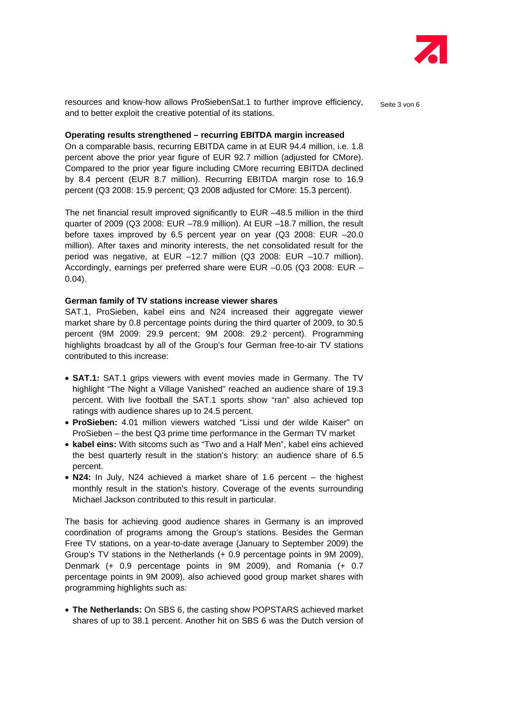

resources and know-how allows ProSiebenSat.1 to further improve efficiency,  $S_{\text{eite 3 von }6}$ and to better exploit the creative potential of its stations.

#### **Operating results strengthened – recurring EBITDA margin increased**

On a comparable basis, recurring EBITDA came in at EUR 94.4 million, i.e. 1.8 percent above the prior year figure of EUR 92.7 million (adjusted for CMore). Compared to the prior year figure including CMore recurring EBITDA declined by 8.4 percent (EUR 8.7 million). Recurring EBITDA margin rose to 16.9 percent (Q3 2008: 15.9 percent; Q3 2008 adjusted for CMore: 15.3 percent).

The net financial result improved significantly to EUR –48.5 million in the third quarter of 2009 (Q3 2008: EUR –78.9 million). At EUR –18.7 million, the result before taxes improved by 6.5 percent year on year (Q3 2008: EUR –20.0 million). After taxes and minority interests, the net consolidated result for the period was negative, at EUR –12.7 million (Q3 2008: EUR –10.7 million). Accordingly, earnings per preferred share were EUR –0.05 (Q3 2008: EUR – 0.04).

## **German family of TV stations increase viewer shares**

SAT.1, ProSieben, kabel eins and N24 increased their aggregate viewer market share by 0.8 percentage points during the third quarter of 2009, to 30.5 percent (9M 2009: 29.9 percent; 9M 2008: 29.2 percent). Programming highlights broadcast by all of the Group's four German free-to-air TV stations contributed to this increase:

- **SAT.1:** SAT.1 grips viewers with event movies made in Germany. The TV highlight "The Night a Village Vanished" reached an audience share of 19.3 percent. With live football the SAT.1 sports show "ran" also achieved top ratings with audience shares up to 24.5 percent.
- **ProSieben:** 4.01 million viewers watched "Lissi und der wilde Kaiser" on ProSieben – the best Q3 prime time performance in the German TV market
- **kabel eins:** With sitcoms such as "Two and a Half Men", kabel eins achieved the best quarterly result in the station's history: an audience share of 6.5 percent.
- **N24:** In July, N24 achieved a market share of 1.6 percent the highest monthly result in the station's history. Coverage of the events surrounding Michael Jackson contributed to this result in particular.

The basis for achieving good audience shares in Germany is an improved coordination of programs among the Group's stations. Besides the German Free TV stations, on a year-to-date average (January to September 2009) the Group's TV stations in the Netherlands (+ 0.9 percentage points in 9M 2009), Denmark (+ 0.9 percentage points in 9M 2009), and Romania (+ 0.7 percentage points in 9M 2009), also achieved good group market shares with programming highlights such as:

• **The Netherlands:** On SBS 6, the casting show POPSTARS achieved market shares of up to 38.1 percent. Another hit on SBS 6 was the Dutch version of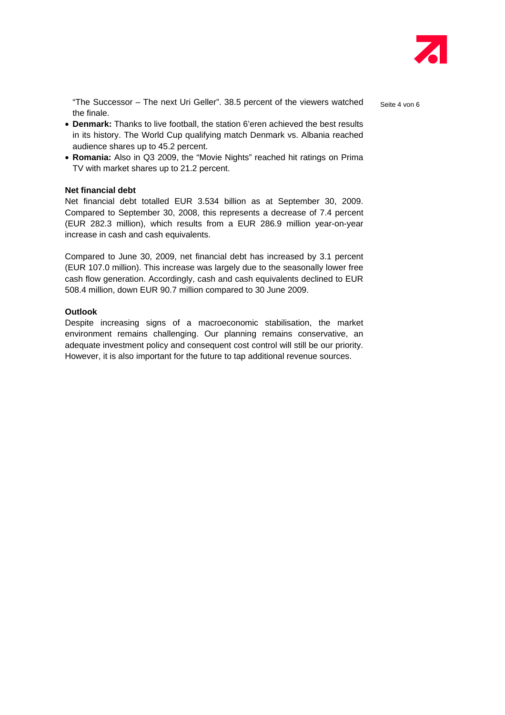

"The Successor – The next Uri Geller". 38.5 percent of the viewers watched serie 4 von 6 the finale.

• **Denmark:** Thanks to live football, the station 6'eren achieved the best results in its history. The World Cup qualifying match Denmark vs. Albania reached audience shares up to 45.2 percent.

• **Romania:** Also in Q3 2009, the "Movie Nights" reached hit ratings on Prima TV with market shares up to 21.2 percent.

## **Net financial debt**

Net financial debt totalled EUR 3.534 billion as at September 30, 2009. Compared to September 30, 2008, this represents a decrease of 7.4 percent (EUR 282.3 million), which results from a EUR 286.9 million year-on-year increase in cash and cash equivalents.

Compared to June 30, 2009, net financial debt has increased by 3.1 percent (EUR 107.0 million). This increase was largely due to the seasonally lower free cash flow generation. Accordingly, cash and cash equivalents declined to EUR 508.4 million, down EUR 90.7 million compared to 30 June 2009.

## **Outlook**

Despite increasing signs of a macroeconomic stabilisation, the market environment remains challenging. Our planning remains conservative, an adequate investment policy and consequent cost control will still be our priority. However, it is also important for the future to tap additional revenue sources.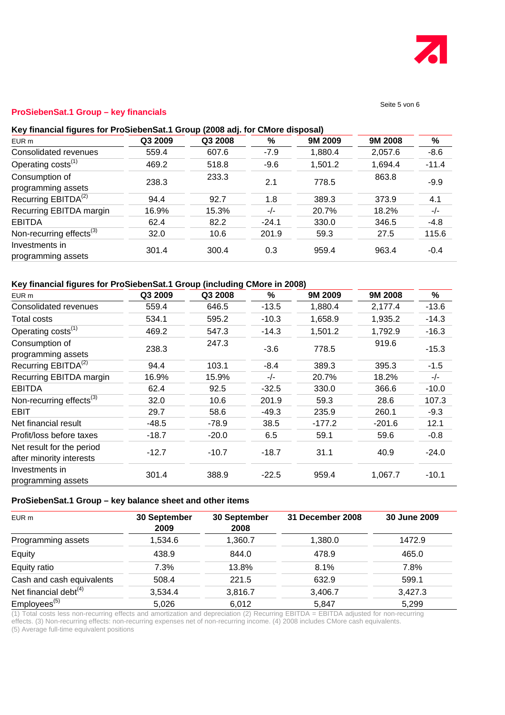

#### Seite 5 von 6

## **ProSiebenSat.1 Group – key financials**

## **Key financial figures for ProSiebenSat.1 Group (2008 adj. for CMore disposal)**

| EUR m                                | Q3 2009 | Q3 2008 | $\%$    | 9M 2009 | 9M 2008 | %       |
|--------------------------------------|---------|---------|---------|---------|---------|---------|
| Consolidated revenues                | 559.4   | 607.6   | $-7.9$  | 1,880.4 | 2,057.6 | $-8.6$  |
| Operating costs <sup>(1)</sup>       | 469.2   | 518.8   | $-9.6$  | 1,501.2 | 1,694.4 | $-11.4$ |
| Consumption of<br>programming assets | 238.3   | 233.3   | 2.1     | 778.5   | 863.8   | $-9.9$  |
| Recurring EBITDA <sup>(2)</sup>      | 94.4    | 92.7    | 1.8     | 389.3   | 373.9   | 4.1     |
| Recurring EBITDA margin              | 16.9%   | 15.3%   | $-/-$   | 20.7%   | 18.2%   | $-/-$   |
| <b>EBITDA</b>                        | 62.4    | 82.2    | $-24.1$ | 330.0   | 346.5   | $-4.8$  |
| Non-recurring effects $(3)$          | 32.0    | 10.6    | 201.9   | 59.3    | 27.5    | 115.6   |
| Investments in<br>programming assets | 301.4   | 300.4   | 0.3     | 959.4   | 963.4   | $-0.4$  |

## **Key financial figures for ProSiebenSat.1 Group (including CMore in 2008)**

| EUR <sub>m</sub>                                      | Q3 2009 | Q3 2008 | %       | 9M 2009  | 9M 2008  | %       |
|-------------------------------------------------------|---------|---------|---------|----------|----------|---------|
| Consolidated revenues                                 | 559.4   | 646.5   | $-13.5$ | 1,880.4  | 2,177.4  | $-13.6$ |
| Total costs                                           | 534.1   | 595.2   | $-10.3$ | 1,658.9  | 1,935.2  | $-14.3$ |
| Operating costs <sup>(1)</sup>                        | 469.2   | 547.3   | $-14.3$ | 1,501.2  | 1,792.9  | $-16.3$ |
| Consumption of<br>programming assets                  | 238.3   | 247.3   | $-3.6$  | 778.5    | 919.6    | $-15.3$ |
| Recurring EBITDA <sup>(2)</sup>                       | 94.4    | 103.1   | $-8.4$  | 389.3    | 395.3    | $-1.5$  |
| Recurring EBITDA margin                               | 16.9%   | 15.9%   | $-/-$   | 20.7%    | 18.2%    | $-/-$   |
| <b>EBITDA</b>                                         | 62.4    | 92.5    | $-32.5$ | 330.0    | 366.6    | $-10.0$ |
| Non-recurring effects <sup>(3)</sup>                  | 32.0    | 10.6    | 201.9   | 59.3     | 28.6     | 107.3   |
| EBIT                                                  | 29.7    | 58.6    | $-49.3$ | 235.9    | 260.1    | $-9.3$  |
| Net financial result                                  | $-48.5$ | $-78.9$ | 38.5    | $-177.2$ | $-201.6$ | 12.1    |
| Profit/loss before taxes                              | $-18.7$ | $-20.0$ | 6.5     | 59.1     | 59.6     | $-0.8$  |
| Net result for the period<br>after minority interests | $-12.7$ | $-10.7$ | $-18.7$ | 31.1     | 40.9     | $-24.0$ |
| Investments in<br>programming assets                  | 301.4   | 388.9   | $-22.5$ | 959.4    | 1,067.7  | $-10.1$ |

## **ProSiebenSat.1 Group – key balance sheet and other items**

| EUR m                     | 30 September<br>2009 | 30 September<br>2008 | 31 December 2008 | 30 June 2009 |
|---------------------------|----------------------|----------------------|------------------|--------------|
| Programming assets        | 1,534.6              | 1,360.7              | 1,380.0          | 1472.9       |
| Equity                    | 438.9                | 844.0                | 478.9            | 465.0        |
| Equity ratio              | 7.3%                 | 13.8%                | 8.1%             | 7.8%         |
| Cash and cash equivalents | 508.4                | 221.5                | 632.9            | 599.1        |
| Net financial debt $(4)$  | 3,534.4              | 3,816.7              | 3,406.7          | 3,427.3      |
| Employees <sup>(5)</sup>  | 5,026                | 6.012                | 5.847            | 5,299        |

(1) Total costs less non-recurring effects and amortization and depreciation (2) Recurring EBITDA = EBITDA adjusted for non-recurring effects. (3) Non-recurring effects: non-recurring expenses net of non-recurring income. (4) 2008 includes CMore cash equivalents.

(5) Average full-time equivalent positions